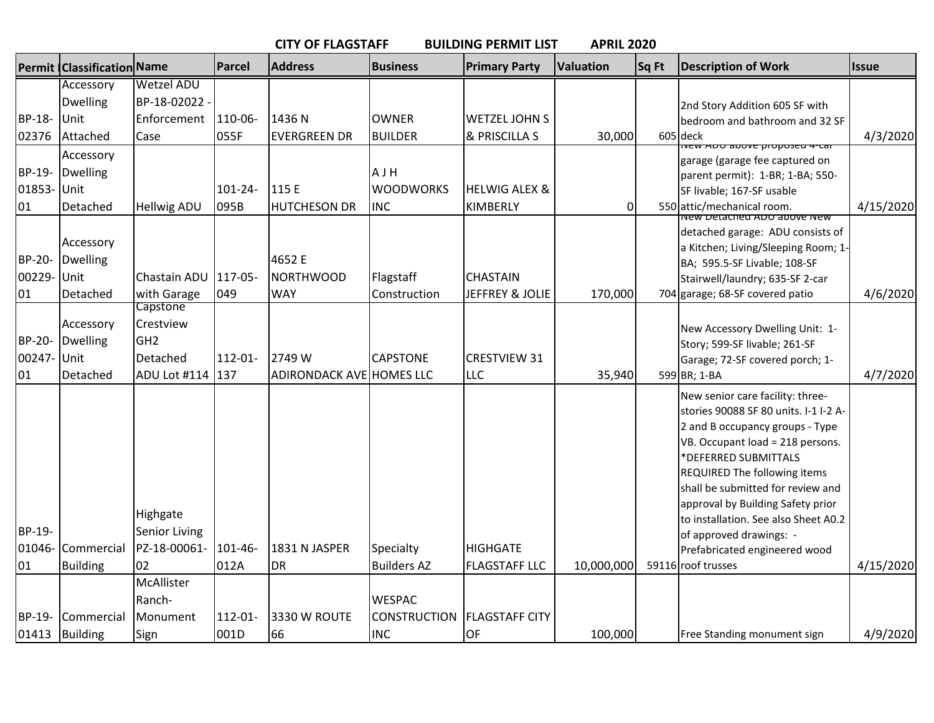|             | <b>CITY OF FLAGSTAFF</b><br><b>BUILDING PERMIT LIST</b><br><b>APRIL 2020</b> |                              |              |                                 |                     |                          |                  |       |                                                                     |              |
|-------------|------------------------------------------------------------------------------|------------------------------|--------------|---------------------------------|---------------------|--------------------------|------------------|-------|---------------------------------------------------------------------|--------------|
|             | Permit   Classification Name                                                 |                              | Parcel       | <b>Address</b>                  | <b>Business</b>     | <b>Primary Party</b>     | <b>Valuation</b> | Sq Ft | <b>Description of Work</b>                                          | <b>Issue</b> |
|             | Accessory                                                                    | <b>Wetzel ADU</b>            |              |                                 |                     |                          |                  |       |                                                                     |              |
|             | <b>Dwelling</b>                                                              | BP-18-02022                  |              |                                 |                     |                          |                  |       | 2nd Story Addition 605 SF with                                      |              |
| BP-18-      | Unit                                                                         | Enforcement                  | 110-06-      | 1436N                           | <b>OWNER</b>        | <b>WETZEL JOHN S</b>     |                  |       | bedroom and bathroom and 32 SF                                      |              |
| 02376       | Attached                                                                     | Case                         | 055F         | <b>EVERGREEN DR</b>             | <b>BUILDER</b>      | & PRISCILLA S            | 30,000           |       | 605 deck<br><del>ועבא איסעט ווי פאטעס טעא אי</del>                  | 4/3/2020     |
|             | Accessory                                                                    |                              |              |                                 |                     |                          |                  |       | garage (garage fee captured on                                      |              |
| BP-19-      | <b>Dwelling</b>                                                              |                              |              |                                 | AJH                 |                          |                  |       | parent permit): 1-BR; 1-BA; 550-                                    |              |
| 01853- Unit |                                                                              |                              | 101-24-      | 115 E                           | <b>WOODWORKS</b>    | <b>HELWIG ALEX &amp;</b> |                  |       | SF livable; 167-SF usable                                           |              |
| 01          | Detached                                                                     | <b>Hellwig ADU</b>           | 095B         | <b>HUTCHESON DR</b>             | <b>INC</b>          | <b>KIMBERLY</b>          | $\Omega$         |       | 550 attic/mechanical room.<br>vew Detached ADO above ivew           | 4/15/2020    |
|             |                                                                              |                              |              |                                 |                     |                          |                  |       | detached garage: ADU consists of                                    |              |
|             | Accessory                                                                    |                              |              |                                 |                     |                          |                  |       | a Kitchen; Living/Sleeping Room; 1-                                 |              |
| BP-20-      | Dwelling                                                                     |                              |              | 4652 E                          |                     |                          |                  |       | BA; 595.5-SF Livable; 108-SF                                        |              |
| 00229-      | Unit                                                                         | Chastain ADU                 | $117 - 05 -$ | <b>NORTHWOOD</b>                | Flagstaff           | <b>CHASTAIN</b>          |                  |       | Stairwell/laundry; 635-SF 2-car                                     |              |
| 01          | Detached                                                                     | with Garage                  | 049          | <b>WAY</b>                      | Construction        | JEFFREY & JOLIE          | 170,000          |       | 704 garage; 68-SF covered patio                                     | 4/6/2020     |
|             |                                                                              | Capstone                     |              |                                 |                     |                          |                  |       |                                                                     |              |
|             | Accessory                                                                    | Crestview<br>GH <sub>2</sub> |              |                                 |                     |                          |                  |       | New Accessory Dwelling Unit: 1-                                     |              |
| BP-20-      | <b>Dwelling</b>                                                              |                              |              |                                 |                     |                          |                  |       | Story; 599-SF livable; 261-SF                                       |              |
| 00247- Unit |                                                                              | Detached                     | 112-01-      | 2749 W                          | <b>CAPSTONE</b>     | <b>CRESTVIEW 31</b>      |                  |       | Garage; 72-SF covered porch; 1-                                     |              |
| 01          | Detached                                                                     | ADU Lot #114                 | 137          | <b>ADIRONDACK AVE HOMES LLC</b> |                     | <b>LLC</b>               | 35,940           |       | 599 BR; 1-BA                                                        | 4/7/2020     |
|             |                                                                              |                              |              |                                 |                     |                          |                  |       | New senior care facility: three-                                    |              |
|             |                                                                              |                              |              |                                 |                     |                          |                  |       | stories 90088 SF 80 units. I-1 I-2 A-                               |              |
|             |                                                                              |                              |              |                                 |                     |                          |                  |       | 2 and B occupancy groups - Type<br>VB. Occupant load = 218 persons. |              |
|             |                                                                              |                              |              |                                 |                     |                          |                  |       | *DEFERRED SUBMITTALS                                                |              |
|             |                                                                              |                              |              |                                 |                     |                          |                  |       | REQUIRED The following items                                        |              |
|             |                                                                              |                              |              |                                 |                     |                          |                  |       | shall be submitted for review and                                   |              |
|             |                                                                              |                              |              |                                 |                     |                          |                  |       | approval by Building Safety prior                                   |              |
|             |                                                                              | Highgate                     |              |                                 |                     |                          |                  |       | to installation. See also Sheet A0.2                                |              |
| BP-19-      |                                                                              | <b>Senior Living</b>         |              |                                 |                     |                          |                  |       | of approved drawings: -                                             |              |
| 01046-      | Commercial                                                                   | PZ-18-00061-                 | 101-46-      | 1831 N JASPER                   | Specialty           | <b>HIGHGATE</b>          |                  |       | Prefabricated engineered wood                                       |              |
| 01          | <b>Building</b>                                                              | 102                          | 012A         | <b>DR</b>                       | <b>Builders AZ</b>  | <b>FLAGSTAFF LLC</b>     | 10,000,000       |       | 59116 roof trusses                                                  | 4/15/2020    |
|             |                                                                              | McAllister                   |              |                                 |                     |                          |                  |       |                                                                     |              |
|             |                                                                              | Ranch-                       |              |                                 | <b>WESPAC</b>       |                          |                  |       |                                                                     |              |
| BP-19-      | Commercial                                                                   | Monument                     | 112-01-      | 3330 W ROUTE                    | <b>CONSTRUCTION</b> | <b>FLAGSTAFF CITY</b>    |                  |       |                                                                     |              |
|             | 01413 Building                                                               | Sign                         | 001D         | 66                              | <b>INC</b>          | OF                       | 100,000          |       | Free Standing monument sign                                         | 4/9/2020     |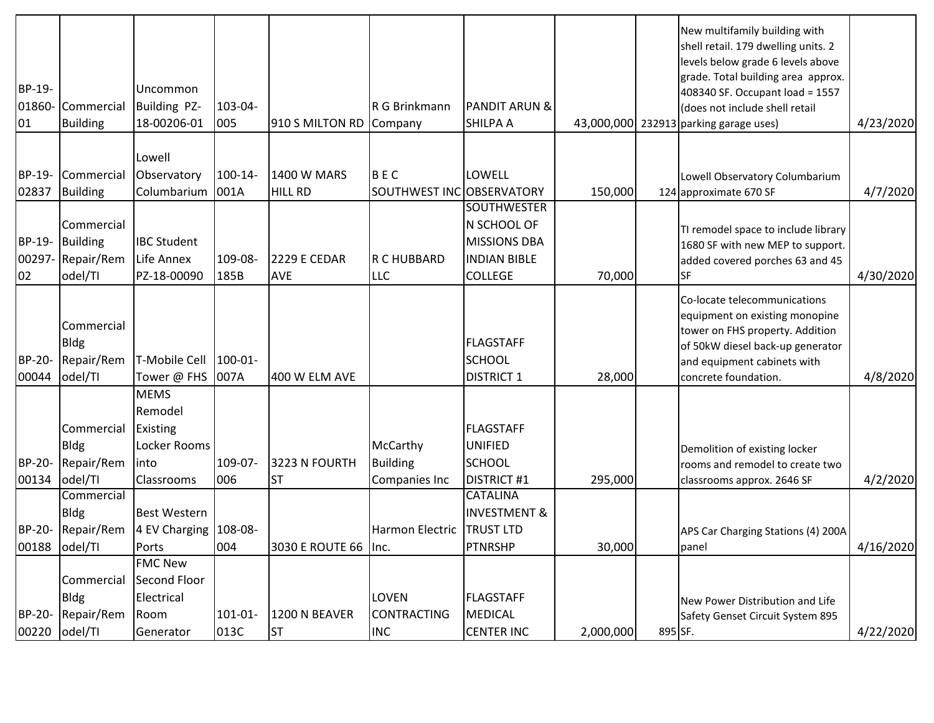| BP-19-<br>01860-       | Commercial                                             | Uncommon<br>Building PZ-                                                         | 103-04-            |                            | R G Brinkmann                                | <b>PANDIT ARUN &amp;</b>                                                    |           |         | New multifamily building with<br>shell retail. 179 dwelling units. 2<br>levels below grade 6 levels above<br>grade. Total building area approx.<br>408340 SF. Occupant load = 1557<br>(does not include shell retail |           |
|------------------------|--------------------------------------------------------|----------------------------------------------------------------------------------|--------------------|----------------------------|----------------------------------------------|-----------------------------------------------------------------------------|-----------|---------|----------------------------------------------------------------------------------------------------------------------------------------------------------------------------------------------------------------------|-----------|
| 01                     | <b>Building</b>                                        | 18-00206-01                                                                      | 005                | 910 S MILTON RD Company    |                                              | <b>SHILPA A</b>                                                             |           |         | 43,000,000 232913 parking garage uses)                                                                                                                                                                               | 4/23/2020 |
| BP-19-                 | Commercial                                             | Lowell<br>Observatory                                                            | 100-14-            | 1400 W MARS                | <b>BEC</b>                                   | LOWELL                                                                      |           |         | Lowell Observatory Columbarium                                                                                                                                                                                       |           |
| 02837                  | <b>Building</b>                                        | Columbarium                                                                      | 001A               | <b>HILL RD</b>             | SOUTHWEST INC OBSERVATORY                    | <b>SOUTHWESTER</b>                                                          | 150,000   |         | 124 approximate 670 SF                                                                                                                                                                                               | 4/7/2020  |
| BP-19-<br>00297-<br>02 | Commercial<br><b>Building</b><br>Repair/Rem<br>odel/TI | <b>IBC Student</b><br>Life Annex<br>PZ-18-00090                                  | 109-08-<br>185B    | <b>2229 E CEDAR</b><br>AVE | R C HUBBARD<br>LLC                           | N SCHOOL OF<br><b>MISSIONS DBA</b><br><b>INDIAN BIBLE</b><br><b>COLLEGE</b> | 70,000    |         | TI remodel space to include library<br>1680 SF with new MEP to support.<br>added covered porches 63 and 45<br><b>SF</b>                                                                                              | 4/30/2020 |
| <b>BP-20-</b><br>00044 | Commercial<br><b>Bldg</b><br>Repair/Rem<br>odel/TI     | T-Mobile Cell<br>Tower @ FHS                                                     | $100 - 01$<br>007A | 400 W ELM AVE              |                                              | <b>FLAGSTAFF</b><br><b>SCHOOL</b><br><b>DISTRICT 1</b>                      | 28,000    |         | Co-locate telecommunications<br>equipment on existing monopine<br>tower on FHS property. Addition<br>of 50kW diesel back-up generator<br>and equipment cabinets with<br>concrete foundation.                         | 4/8/2020  |
| BP-20-<br>00134        | Commercial<br><b>Bldg</b><br>Repair/Rem<br>odel/TI     | <b>MEMS</b><br>Remodel<br>Existing<br>Locker Rooms<br>linto<br><b>Classrooms</b> | 109-07-<br>006     | 3223 N FOURTH<br><b>ST</b> | McCarthy<br><b>Building</b><br>Companies Inc | <b>FLAGSTAFF</b><br><b>UNIFIED</b><br><b>SCHOOL</b><br><b>DISTRICT #1</b>   | 295,000   |         | Demolition of existing locker<br>rooms and remodel to create two<br>classrooms approx. 2646 SF                                                                                                                       | 4/2/2020  |
|                        | Commercial<br><b>Bldg</b>                              | <b>Best Western</b>                                                              |                    |                            |                                              | <b>CATALINA</b><br><b>INVESTMENT &amp;</b>                                  |           |         |                                                                                                                                                                                                                      |           |
|                        | BP-20-Repair/Rem                                       | 4 EV Charging 108-08-                                                            | 004                | 3030 E ROUTE 66 Inc.       | Harmon Electric                              | <b>TRUST LTD</b>                                                            |           |         | APS Car Charging Stations (4) 200A                                                                                                                                                                                   |           |
|                        | 00188 odel/TI                                          | Ports<br><b>FMC New</b>                                                          |                    |                            |                                              | <b>PTNRSHP</b>                                                              | 30,000    |         | panel                                                                                                                                                                                                                | 4/16/2020 |
|                        | Commercial<br><b>Bldg</b>                              | Second Floor<br>Electrical                                                       |                    |                            | LOVEN                                        | <b>FLAGSTAFF</b>                                                            |           |         | New Power Distribution and Life                                                                                                                                                                                      |           |
| BP-20-<br>00220        | Repair/Rem<br>odel/TI                                  | Room<br>Generator                                                                | 101-01-<br>013C    | 1200 N BEAVER<br><b>ST</b> | CONTRACTING<br><b>INC</b>                    | <b>MEDICAL</b><br><b>CENTER INC</b>                                         | 2,000,000 | 895 SF. | Safety Genset Circuit System 895                                                                                                                                                                                     | 4/22/2020 |
|                        |                                                        |                                                                                  |                    |                            |                                              |                                                                             |           |         |                                                                                                                                                                                                                      |           |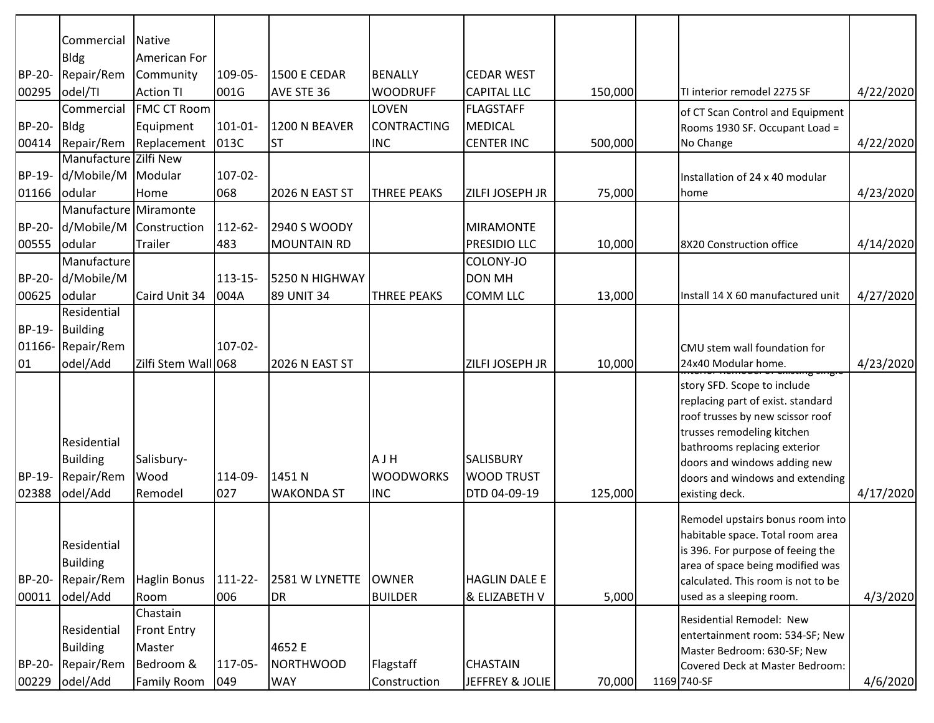|                 | Commercial                                               | Native                        |                |                             |                                       |                                                       |         |                                                                                                                                                                                                                                                         |           |
|-----------------|----------------------------------------------------------|-------------------------------|----------------|-----------------------------|---------------------------------------|-------------------------------------------------------|---------|---------------------------------------------------------------------------------------------------------------------------------------------------------------------------------------------------------------------------------------------------------|-----------|
|                 | <b>Bldg</b>                                              | American For                  |                |                             |                                       |                                                       |         |                                                                                                                                                                                                                                                         |           |
| BP-20-          | Repair/Rem                                               | Community                     | 109-05-        | <b>1500 E CEDAR</b>         | <b>BENALLY</b>                        | <b>CEDAR WEST</b>                                     |         |                                                                                                                                                                                                                                                         |           |
| 00295           | odel/TI                                                  | <b>Action TI</b>              | 001G           | AVE STE 36                  | <b>WOODRUFF</b>                       | <b>CAPITAL LLC</b>                                    | 150,000 | TI interior remodel 2275 SF                                                                                                                                                                                                                             | 4/22/2020 |
|                 | Commercial                                               | <b>FMC CT Room</b>            |                |                             | <b>LOVEN</b>                          | <b>FLAGSTAFF</b>                                      |         | of CT Scan Control and Equipment                                                                                                                                                                                                                        |           |
| BP-20-          | <b>Bldg</b>                                              | Equipment                     | 101-01-        | <b>1200 N BEAVER</b>        | <b>CONTRACTING</b>                    | MEDICAL                                               |         | Rooms 1930 SF. Occupant Load =                                                                                                                                                                                                                          |           |
| 00414           | Repair/Rem                                               | Replacement                   | 013C           | <b>ST</b>                   | <b>INC</b>                            | <b>CENTER INC</b>                                     | 500,000 | No Change                                                                                                                                                                                                                                               | 4/22/2020 |
|                 | Manufacture Zilfi New                                    |                               |                |                             |                                       |                                                       |         |                                                                                                                                                                                                                                                         |           |
| BP-19-          | d/Mobile/M Modular                                       |                               | $107 - 02 -$   |                             |                                       |                                                       |         | Installation of 24 x 40 modular                                                                                                                                                                                                                         |           |
| 01166           | odular                                                   | Home                          | 068            | 2026 N EAST ST              | <b>THREE PEAKS</b>                    | ZILFI JOSEPH JR                                       | 75,000  | home                                                                                                                                                                                                                                                    | 4/23/2020 |
|                 | Manufacture Miramonte                                    |                               |                |                             |                                       |                                                       |         |                                                                                                                                                                                                                                                         |           |
| BP-20-          | d/Mobile/M                                               | Construction                  | 112-62-        | 2940 S WOODY                |                                       | <b>MIRAMONTE</b>                                      |         |                                                                                                                                                                                                                                                         |           |
| 00555           | odular                                                   | Trailer                       | 483            | <b>MOUNTAIN RD</b>          |                                       | PRESIDIO LLC                                          | 10,000  | 8X20 Construction office                                                                                                                                                                                                                                | 4/14/2020 |
|                 | Manufacture                                              |                               |                |                             |                                       | COLONY-JO                                             |         |                                                                                                                                                                                                                                                         |           |
| BP-20-          | d/Mobile/M                                               |                               | $113 - 15 -$   | 5250 N HIGHWAY              |                                       | <b>DON MH</b>                                         |         |                                                                                                                                                                                                                                                         |           |
| 00625           | odular                                                   | Caird Unit 34                 | 004A           | 89 UNIT 34                  | <b>THREE PEAKS</b>                    | <b>COMM LLC</b>                                       | 13,000  | Install 14 X 60 manufactured unit                                                                                                                                                                                                                       | 4/27/2020 |
|                 | Residential                                              |                               |                |                             |                                       |                                                       |         |                                                                                                                                                                                                                                                         |           |
| BP-19-          | <b>Building</b>                                          |                               |                |                             |                                       |                                                       |         |                                                                                                                                                                                                                                                         |           |
| 01166-          | Repair/Rem                                               |                               | $107 - 02 -$   |                             |                                       |                                                       |         | CMU stem wall foundation for                                                                                                                                                                                                                            |           |
| 01              | odel/Add                                                 | Zilfi Stem Wall 068           |                | 2026 N EAST ST              |                                       | ZILFI JOSEPH JR                                       | 10,000  | 24x40 Modular home.                                                                                                                                                                                                                                     | 4/23/2020 |
| BP-19-<br>02388 | Residential<br><b>Building</b><br>Repair/Rem<br>odel/Add | Salisbury-<br>Wood<br>Remodel | 114-09-<br>027 | 1451 N<br><b>WAKONDA ST</b> | AJH<br><b>WOODWORKS</b><br><b>INC</b> | <b>SALISBURY</b><br><b>WOOD TRUST</b><br>DTD 04-09-19 | 125,000 | story SFD. Scope to include<br>replacing part of exist. standard<br>roof trusses by new scissor roof<br>trusses remodeling kitchen<br>bathrooms replacing exterior<br>doors and windows adding new<br>doors and windows and extending<br>existing deck. | 4/17/2020 |
|                 |                                                          |                               |                |                             |                                       |                                                       |         |                                                                                                                                                                                                                                                         |           |
| BP-20-          | Residential<br><b>Building</b><br>Repair/Rem             | Haglin Bonus                  | 111-22-        | 2581 W LYNETTE              | <b>OWNER</b>                          | <b>HAGLIN DALE E</b>                                  |         | Remodel upstairs bonus room into<br>habitable space. Total room area<br>is 396. For purpose of feeing the<br>area of space being modified was<br>calculated. This room is not to be                                                                     |           |
| 00011           | odel/Add                                                 | Room                          | 006            | <b>DR</b>                   | <b>BUILDER</b>                        | & ELIZABETH V                                         | 5,000   | used as a sleeping room.                                                                                                                                                                                                                                | 4/3/2020  |
|                 |                                                          | Chastain                      |                |                             |                                       |                                                       |         | Residential Remodel: New                                                                                                                                                                                                                                |           |
|                 | Residential                                              | <b>Front Entry</b>            |                |                             |                                       |                                                       |         | entertainment room: 534-SF; New                                                                                                                                                                                                                         |           |
|                 | <b>Building</b>                                          | Master                        |                | 4652 E                      |                                       |                                                       |         | Master Bedroom: 630-SF; New                                                                                                                                                                                                                             |           |
| BP-20-          | Repair/Rem                                               | Bedroom &                     | 117-05-        | <b>NORTHWOOD</b>            | Flagstaff                             | <b>CHASTAIN</b>                                       |         | Covered Deck at Master Bedroom:                                                                                                                                                                                                                         |           |
| 00229           | odel/Add                                                 | <b>Family Room</b>            | $ 049\rangle$  | <b>WAY</b>                  | Construction                          | JEFFREY & JOLIE                                       | 70,000  | 1169 740-SF                                                                                                                                                                                                                                             | 4/6/2020  |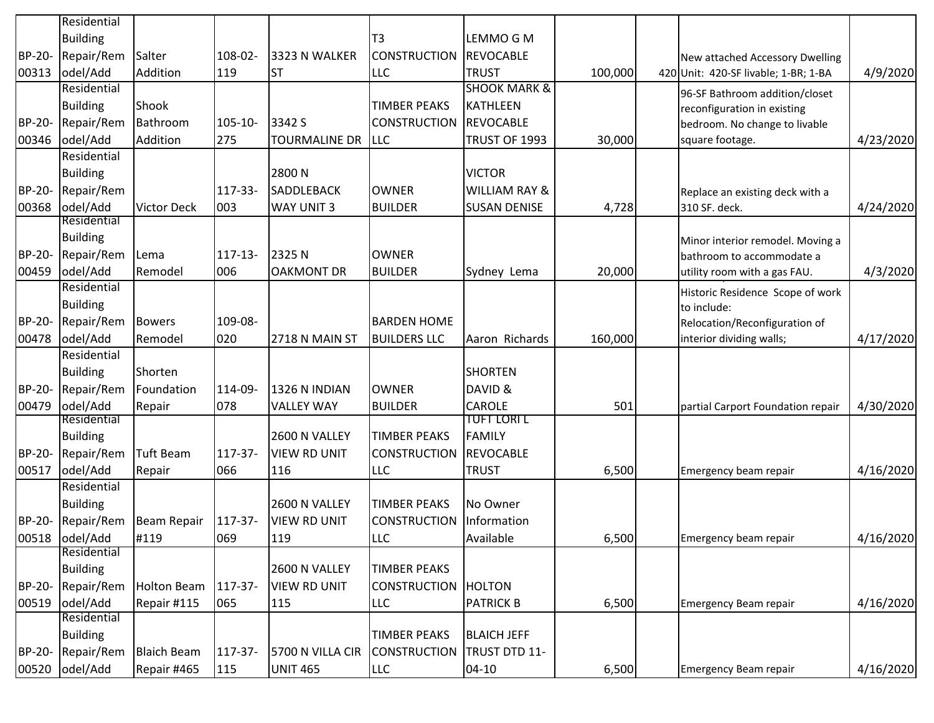|               | Residential     |                    |              |                      |                     |                          |         |                                      |           |
|---------------|-----------------|--------------------|--------------|----------------------|---------------------|--------------------------|---------|--------------------------------------|-----------|
|               | <b>Building</b> |                    |              |                      | T <sub>3</sub>      | LEMMO G M                |         |                                      |           |
| <b>BP-20-</b> | Repair/Rem      | Salter             | 108-02-      | 3323 N WALKER        | <b>CONSTRUCTION</b> | <b>REVOCABLE</b>         |         | New attached Accessory Dwelling      |           |
| 00313         | odel/Add        | Addition           | 119          | <b>ST</b>            | <b>LLC</b>          | <b>TRUST</b>             | 100,000 | 420 Unit: 420-SF livable; 1-BR; 1-BA | 4/9/2020  |
|               | Residential     |                    |              |                      |                     | <b>SHOOK MARK &amp;</b>  |         | 96-SF Bathroom addition/closet       |           |
|               | <b>Building</b> | Shook              |              |                      | <b>TIMBER PEAKS</b> | <b>KATHLEEN</b>          |         | reconfiguration in existing          |           |
| BP-20-        | Repair/Rem      | Bathroom           | 105-10-      | 3342 S               | <b>CONSTRUCTION</b> | REVOCABLE                |         | bedroom. No change to livable        |           |
| 00346         | odel/Add        | Addition           | 275          | <b>TOURMALINE DR</b> | <b>LLC</b>          | TRUST OF 1993            | 30,000  | square footage.                      | 4/23/2020 |
|               | Residential     |                    |              |                      |                     |                          |         |                                      |           |
|               | <b>Building</b> |                    |              | 2800N                |                     | <b>VICTOR</b>            |         |                                      |           |
| <b>BP-20-</b> | Repair/Rem      |                    | 117-33-      | <b>SADDLEBACK</b>    | <b>OWNER</b>        | <b>WILLIAM RAY &amp;</b> |         | Replace an existing deck with a      |           |
| 00368         | odel/Add        | <b>Victor Deck</b> | 003          | <b>WAY UNIT 3</b>    | <b>BUILDER</b>      | <b>SUSAN DENISE</b>      | 4,728   | 310 SF. deck.                        | 4/24/2020 |
|               | Residential     |                    |              |                      |                     |                          |         |                                      |           |
|               | <b>Building</b> |                    |              |                      |                     |                          |         | Minor interior remodel. Moving a     |           |
| <b>BP-20-</b> | Repair/Rem      | Lema               | $117 - 13 -$ | 2325N                | <b>OWNER</b>        |                          |         | bathroom to accommodate a            |           |
| 00459         | odel/Add        | Remodel            | 006          | <b>OAKMONT DR</b>    | <b>BUILDER</b>      | Sydney Lema              | 20,000  | utility room with a gas FAU.         | 4/3/2020  |
|               | Residential     |                    |              |                      |                     |                          |         | Historic Residence Scope of work     |           |
|               | <b>Building</b> |                    |              |                      |                     |                          |         | to include:                          |           |
| BP-20-        | Repair/Rem      | <b>Bowers</b>      | 109-08-      |                      | <b>BARDEN HOME</b>  |                          |         | Relocation/Reconfiguration of        |           |
| 00478         | odel/Add        | Remodel            | 020          | 2718 N MAIN ST       | <b>BUILDERS LLC</b> | Aaron Richards           | 160,000 | interior dividing walls;             | 4/17/2020 |
|               | Residential     |                    |              |                      |                     |                          |         |                                      |           |
|               | <b>Building</b> | Shorten            |              |                      |                     | <b>SHORTEN</b>           |         |                                      |           |
| BP-20-        | Repair/Rem      | Foundation         | 114-09-      | 1326 N INDIAN        | <b>OWNER</b>        | DAVID &                  |         |                                      |           |
| 00479         | odel/Add        | Repair             | 078          | <b>VALLEY WAY</b>    | <b>BUILDER</b>      | <b>CAROLE</b>            | 501     | partial Carport Foundation repair    | 4/30/2020 |
|               | Residential     |                    |              |                      |                     | <b>TUFT LORI L</b>       |         |                                      |           |
|               | <b>Building</b> |                    |              | 2600 N VALLEY        | <b>TIMBER PEAKS</b> | FAMILY                   |         |                                      |           |
| BP-20-        | Repair/Rem      | Tuft Beam          | 117-37-      | <b>VIEW RD UNIT</b>  | <b>CONSTRUCTION</b> | <b>REVOCABLE</b>         |         |                                      |           |
| 00517         | odel/Add        | Repair             | 066          | 116                  | <b>LLC</b>          | <b>TRUST</b>             | 6,500   | Emergency beam repair                | 4/16/2020 |
|               | Residential     |                    |              |                      |                     |                          |         |                                      |           |
|               | <b>Building</b> |                    |              | 2600 N VALLEY        | <b>TIMBER PEAKS</b> | No Owner                 |         |                                      |           |
| BP-20-        | Repair/Rem      | Beam Repair        | 117-37-      | <b>VIEW RD UNIT</b>  | <b>CONSTRUCTION</b> | Information              |         |                                      |           |
|               | 00518 odel/Add  | #119               | 069          | 119                  | <b>LLC</b>          | Available                | 6,500   | Emergency beam repair                | 4/16/2020 |
|               | Residential     |                    |              |                      |                     |                          |         |                                      |           |
|               | <b>Building</b> |                    |              | 2600 N VALLEY        | <b>TIMBER PEAKS</b> |                          |         |                                      |           |
| BP-20-        | Repair/Rem      | Holton Beam        | 117-37-      | <b>VIEW RD UNIT</b>  | <b>CONSTRUCTION</b> | <b>HOLTON</b>            |         |                                      |           |
| 00519         | odel/Add        | Repair #115        | 065          | 115                  | <b>LLC</b>          | <b>PATRICK B</b>         | 6,500   | Emergency Beam repair                | 4/16/2020 |
|               | Residential     |                    |              |                      |                     |                          |         |                                      |           |
|               | <b>Building</b> |                    |              |                      | <b>TIMBER PEAKS</b> | <b>BLAICH JEFF</b>       |         |                                      |           |
| BP-20-        | Repair/Rem      | <b>Blaich Beam</b> | 117-37-      | 5700 N VILLA CIR     | <b>CONSTRUCTION</b> | TRUST DTD 11-            |         |                                      |           |
| 00520         | odel/Add        | Repair #465        | 115          | <b>UNIT 465</b>      | <b>LLC</b>          | $ 04 - 10 $              | 6,500   | Emergency Beam repair                | 4/16/2020 |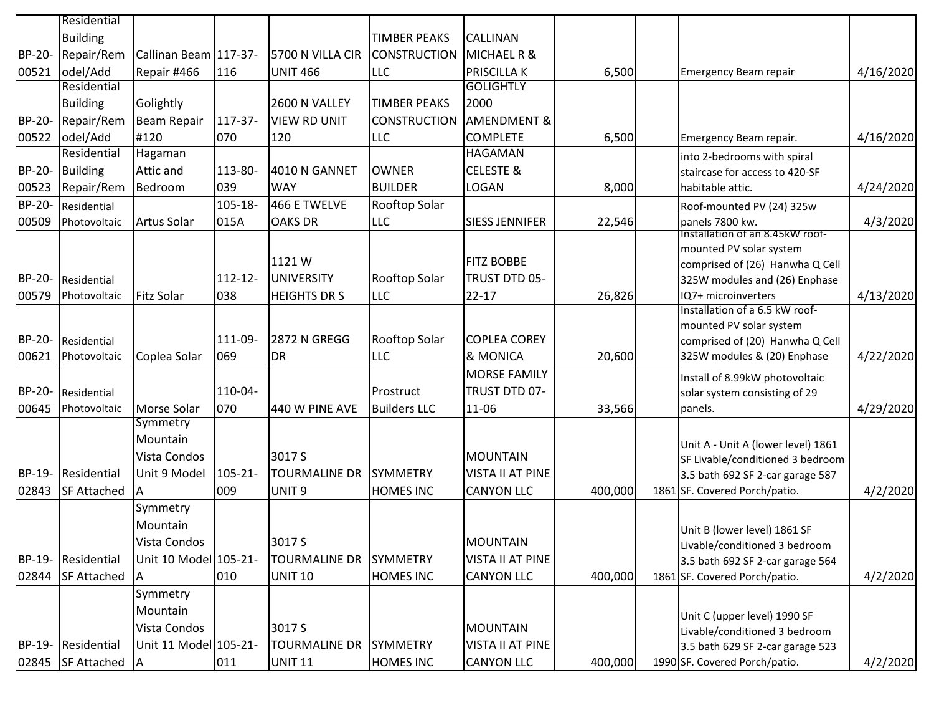|                        | Residential                       |                                                               |                     |                                                     |                                     |                                                                 |         |                                                                                                                                             |           |
|------------------------|-----------------------------------|---------------------------------------------------------------|---------------------|-----------------------------------------------------|-------------------------------------|-----------------------------------------------------------------|---------|---------------------------------------------------------------------------------------------------------------------------------------------|-----------|
|                        | <b>Building</b>                   |                                                               |                     |                                                     | <b>TIMBER PEAKS</b>                 | <b>CALLINAN</b>                                                 |         |                                                                                                                                             |           |
| BP-20-                 | Repair/Rem                        | Callinan Beam 117-37-                                         |                     | 5700 N VILLA CIR                                    | <b>CONSTRUCTION</b>                 | <b>MICHAEL R &amp;</b>                                          |         |                                                                                                                                             |           |
| 00521                  | odel/Add                          | Repair #466                                                   | 116                 | <b>UNIT 466</b>                                     | <b>LLC</b>                          | <b>PRISCILLA K</b>                                              | 6,500   | Emergency Beam repair                                                                                                                       | 4/16/2020 |
|                        | Residential                       |                                                               |                     |                                                     |                                     | <b>GOLIGHTLY</b>                                                |         |                                                                                                                                             |           |
|                        | <b>Building</b>                   | Golightly                                                     |                     | 2600 N VALLEY                                       | <b>TIMBER PEAKS</b>                 | 2000                                                            |         |                                                                                                                                             |           |
| BP-20-                 | Repair/Rem                        | <b>Beam Repair</b>                                            | 117-37-             | <b>VIEW RD UNIT</b>                                 | <b>CONSTRUCTION</b>                 | <b>AMENDMENT &amp;</b>                                          |         |                                                                                                                                             |           |
| 00522                  | odel/Add                          | #120                                                          | 070                 | 120                                                 | <b>LLC</b>                          | <b>COMPLETE</b>                                                 | 6,500   | Emergency Beam repair.                                                                                                                      | 4/16/2020 |
|                        | Residential                       | Hagaman                                                       |                     |                                                     |                                     | <b>HAGAMAN</b>                                                  |         | into 2-bedrooms with spiral                                                                                                                 |           |
| BP-20-                 | <b>Building</b>                   | Attic and                                                     | 113-80-             | 4010 N GANNET                                       | <b>OWNER</b>                        | <b>CELESTE &amp;</b>                                            |         | staircase for access to 420-SF                                                                                                              |           |
| 00523                  | Repair/Rem                        | Bedroom                                                       | 039                 | <b>WAY</b>                                          | <b>BUILDER</b>                      | LOGAN                                                           | 8,000   | habitable attic.                                                                                                                            | 4/24/2020 |
| <b>BP-20-</b>          | Residential                       |                                                               | 105-18-             | 466 E TWELVE                                        | Rooftop Solar                       |                                                                 |         | Roof-mounted PV (24) 325w                                                                                                                   |           |
| 00509                  | Photovoltaic                      | Artus Solar                                                   | 015A                | <b>OAKS DR</b>                                      | <b>LLC</b>                          | <b>SIESS JENNIFER</b>                                           | 22,546  | panels 7800 kw.                                                                                                                             | 4/3/2020  |
| BP-20-                 | Residential                       |                                                               | $112 - 12$          | 1121W<br><b>UNIVERSITY</b>                          | <b>Rooftop Solar</b>                | <b>FITZ BOBBE</b><br>TRUST DTD 05-                              |         | Installation of an 8.45kW roof-<br>mounted PV solar system<br>comprised of (26) Hanwha Q Cell<br>325W modules and (26) Enphase              |           |
| 00579                  | Photovoltaic                      | <b>Fitz Solar</b>                                             | 038                 | <b>HEIGHTS DR S</b>                                 | <b>LLC</b>                          | $22 - 17$                                                       | 26,826  | IQ7+ microinverters<br>Installation of a 6.5 kW roof-                                                                                       | 4/13/2020 |
| BP-20-<br>00621        | Residential<br>Photovoltaic       | Coplea Solar                                                  | 111-09-<br>069      | <b>2872 N GREGG</b><br><b>DR</b>                    | Rooftop Solar<br>LLC                | <b>COPLEA COREY</b><br>& MONICA                                 | 20,600  | mounted PV solar system<br>comprised of (20) Hanwha Q Cell<br>325W modules & (20) Enphase                                                   | 4/22/2020 |
| BP-20-<br>00645        | Residential<br>Photovoltaic       | Morse Solar                                                   | 110-04-<br>070      | 440 W PINE AVE                                      | Prostruct<br><b>Builders LLC</b>    | <b>MORSE FAMILY</b><br>TRUST DTD 07-<br>11-06                   | 33,566  | Install of 8.99kW photovoltaic<br>solar system consisting of 29<br>panels.                                                                  | 4/29/2020 |
| <b>BP-19-</b><br>02843 | Residential<br><b>SF Attached</b> | Symmetry<br>Mountain<br>Vista Condos<br>Unit 9 Model<br>IΑ    | $105 - 21 -$<br>009 | 3017 S<br><b>TOURMALINE DR</b><br>UNIT <sub>9</sub> | <b>SYMMETRY</b><br><b>HOMES INC</b> | <b>MOUNTAIN</b><br><b>VISTA II AT PINE</b><br><b>CANYON LLC</b> | 400,000 | Unit A - Unit A (lower level) 1861<br>SF Livable/conditioned 3 bedroom<br>3.5 bath 692 SF 2-car garage 587<br>1861 SF. Covered Porch/patio. | 4/2/2020  |
| BP-19-                 | Residential                       | Symmetry<br>Mountain<br>Vista Condos<br>Unit 10 Model 105-21- |                     | 3017 S<br><b>TOURMALINE DR</b>                      | <b>SYMMETRY</b>                     | <b>MOUNTAIN</b><br><b>VISTA II AT PINE</b>                      |         | Unit B (lower level) 1861 SF<br>Livable/conditioned 3 bedroom<br>3.5 bath 692 SF 2-car garage 564                                           |           |
| 02844                  | <b>SF Attached</b>                | ΙA                                                            | 010                 | <b>UNIT 10</b>                                      | <b>HOMES INC</b>                    | <b>CANYON LLC</b>                                               | 400,000 | 1861 SF. Covered Porch/patio.                                                                                                               | 4/2/2020  |
| BP-19-                 | Residential                       | Symmetry<br>Mountain<br>Vista Condos<br>Unit 11 Model 105-21- |                     | 3017 S<br><b>TOURMALINE DR</b>                      | <b>SYMMETRY</b>                     | <b>MOUNTAIN</b><br><b>VISTA II AT PINE</b>                      |         | Unit C (upper level) 1990 SF<br>Livable/conditioned 3 bedroom<br>3.5 bath 629 SF 2-car garage 523                                           |           |
|                        | 02845 SF Attached                 | A                                                             | 011                 | <b>UNIT 11</b>                                      | <b>HOMES INC</b>                    | <b>CANYON LLC</b>                                               | 400,000 | 1990 SF. Covered Porch/patio.                                                                                                               | 4/2/2020  |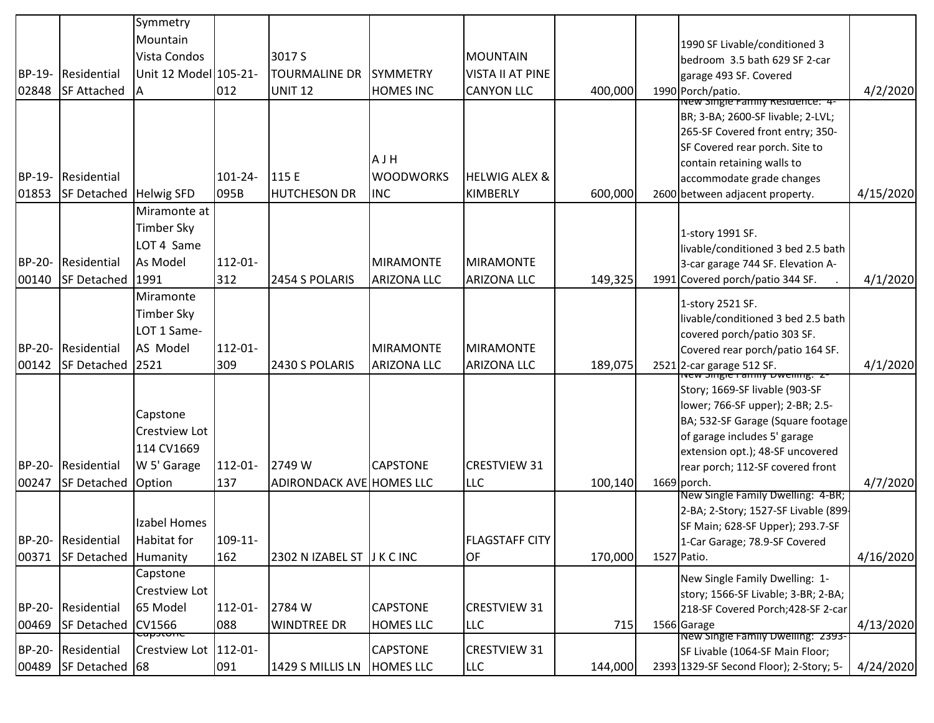|        |                               | Symmetry              |              |                                 |                    |                          |         |                                                                            |           |
|--------|-------------------------------|-----------------------|--------------|---------------------------------|--------------------|--------------------------|---------|----------------------------------------------------------------------------|-----------|
|        |                               | Mountain              |              |                                 |                    |                          |         | 1990 SF Livable/conditioned 3                                              |           |
|        |                               | Vista Condos          |              | 3017 S                          |                    | <b>MOUNTAIN</b>          |         | bedroom 3.5 bath 629 SF 2-car                                              |           |
| BP-19- | Residential                   | Unit 12 Model 105-21- |              | <b>TOURMALINE DR</b>            | <b>SYMMETRY</b>    | <b>VISTA II AT PINE</b>  |         | garage 493 SF. Covered                                                     |           |
| 02848  | <b>SF Attached</b>            | IΑ                    | 012          | <b>UNIT 12</b>                  | <b>HOMES INC</b>   | <b>CANYON LLC</b>        | 400,000 | 1990 Porch/patio.                                                          | 4/2/2020  |
|        |                               |                       |              |                                 |                    |                          |         | New single Family Residence: 4-                                            |           |
|        |                               |                       |              |                                 |                    |                          |         | BR; 3-BA; 2600-SF livable; 2-LVL;<br>265-SF Covered front entry; 350-      |           |
|        |                               |                       |              |                                 |                    |                          |         | SF Covered rear porch. Site to                                             |           |
|        |                               |                       |              |                                 | AJH                |                          |         | contain retaining walls to                                                 |           |
| BP-19- | Residential                   |                       | $101 - 24 -$ | 115 E                           | <b>WOODWORKS</b>   | <b>HELWIG ALEX &amp;</b> |         | accommodate grade changes                                                  |           |
| 01853  | <b>SF Detached Helwig SFD</b> |                       | 095B         | <b>HUTCHESON DR</b>             | <b>INC</b>         | <b>KIMBERLY</b>          | 600,000 | 2600 between adjacent property.                                            | 4/15/2020 |
|        |                               | Miramonte at          |              |                                 |                    |                          |         |                                                                            |           |
|        |                               | <b>Timber Sky</b>     |              |                                 |                    |                          |         | 1-story 1991 SF.                                                           |           |
|        |                               | LOT 4 Same            |              |                                 |                    |                          |         | livable/conditioned 3 bed 2.5 bath                                         |           |
| BP-20- | Residential                   | As Model              | 112-01-      |                                 | <b>MIRAMONTE</b>   | <b>MIRAMONTE</b>         |         | 3-car garage 744 SF. Elevation A-                                          |           |
| 00140  | <b>SF Detached</b>            | 1991                  | 312          | 2454 S POLARIS                  | <b>ARIZONA LLC</b> | <b>ARIZONA LLC</b>       | 149,325 | 1991 Covered porch/patio 344 SF.                                           | 4/1/2020  |
|        |                               | Miramonte             |              |                                 |                    |                          |         | 1-story 2521 SF.                                                           |           |
|        |                               | <b>Timber Sky</b>     |              |                                 |                    |                          |         | livable/conditioned 3 bed 2.5 bath                                         |           |
|        |                               | LOT 1 Same-           |              |                                 |                    |                          |         | covered porch/patio 303 SF.                                                |           |
| BP-20- | Residential                   | AS Model              | 112-01-      |                                 | <b>MIRAMONTE</b>   | <b>MIRAMONTE</b>         |         | Covered rear porch/patio 164 SF.                                           |           |
| 00142  | <b>SF Detached</b>            | 2521                  | 309          | 2430 S POLARIS                  | <b>ARIZONA LLC</b> | <b>ARIZONA LLC</b>       | 189,075 | 2521 2-car garage 512 SF.<br>The wew single railing Dwennig. 2-            | 4/1/2020  |
|        |                               |                       |              |                                 |                    |                          |         | Story; 1669-SF livable (903-SF                                             |           |
|        |                               |                       |              |                                 |                    |                          |         | lower; 766-SF upper); 2-BR; 2.5-                                           |           |
|        |                               | Capstone              |              |                                 |                    |                          |         | BA; 532-SF Garage (Square footage                                          |           |
|        |                               | <b>Crestview Lot</b>  |              |                                 |                    |                          |         | of garage includes 5' garage                                               |           |
|        |                               | 114 CV1669            |              |                                 |                    |                          |         | extension opt.); 48-SF uncovered                                           |           |
| BP-20- | Residential                   | W 5' Garage           | $112 - 01 -$ | 2749 W                          | <b>CAPSTONE</b>    | <b>CRESTVIEW 31</b>      |         | rear porch; 112-SF covered front                                           |           |
| 00247  | <b>SF Detached</b>            | Option                | 137          | <b>ADIRONDACK AVE HOMES LLC</b> |                    | LLC                      | 100,140 | $1669$ porch.                                                              | 4/7/2020  |
|        |                               |                       |              |                                 |                    |                          |         | New Single Family Dwelling: 4-BR;                                          |           |
|        |                               | Izabel Homes          |              |                                 |                    |                          |         | 2-BA; 2-Story; 1527-SF Livable (899-<br>SF Main; 628-SF Upper); 293.7-SF   |           |
|        | BP-20- Residential            | Habitat for           | 109-11-      |                                 |                    | <b>FLAGSTAFF CITY</b>    |         | 1-Car Garage; 78.9-SF Covered                                              |           |
| 00371  | <b>SF Detached Humanity</b>   |                       | 162          | 2302 N IZABEL ST J K C INC      |                    | OF                       | 170,000 | 1527 Patio.                                                                | 4/16/2020 |
|        |                               | Capstone              |              |                                 |                    |                          |         | New Single Family Dwelling: 1-                                             |           |
|        |                               | <b>Crestview Lot</b>  |              |                                 |                    |                          |         | story; 1566-SF Livable; 3-BR; 2-BA;                                        |           |
| BP-20- | Residential                   | 65 Model              | $112 - 01 -$ | 2784 W                          | <b>CAPSTONE</b>    | <b>CRESTVIEW 31</b>      |         | 218-SF Covered Porch; 428-SF 2-car                                         |           |
| 00469  | SF Detached CV1566            |                       | 088          | <b>WINDTREE DR</b>              | HOMES LLC          | LLC                      | 715     | 1566 Garage                                                                | 4/13/2020 |
| BP-20- | Residential                   | Crestview Lot 112-01- |              |                                 | <b>CAPSTONE</b>    | <b>CRESTVIEW 31</b>      |         | New Single Family Dwelling: 2393-                                          |           |
| 00489  | SF Detached 68                |                       | 091          | 1429 S MILLIS LN  HOMES LLC     |                    |                          | 144,000 | SF Livable (1064-SF Main Floor;<br>2393 1329-SF Second Floor); 2-Story; 5- | 4/24/2020 |
|        |                               |                       |              |                                 |                    | LLC                      |         |                                                                            |           |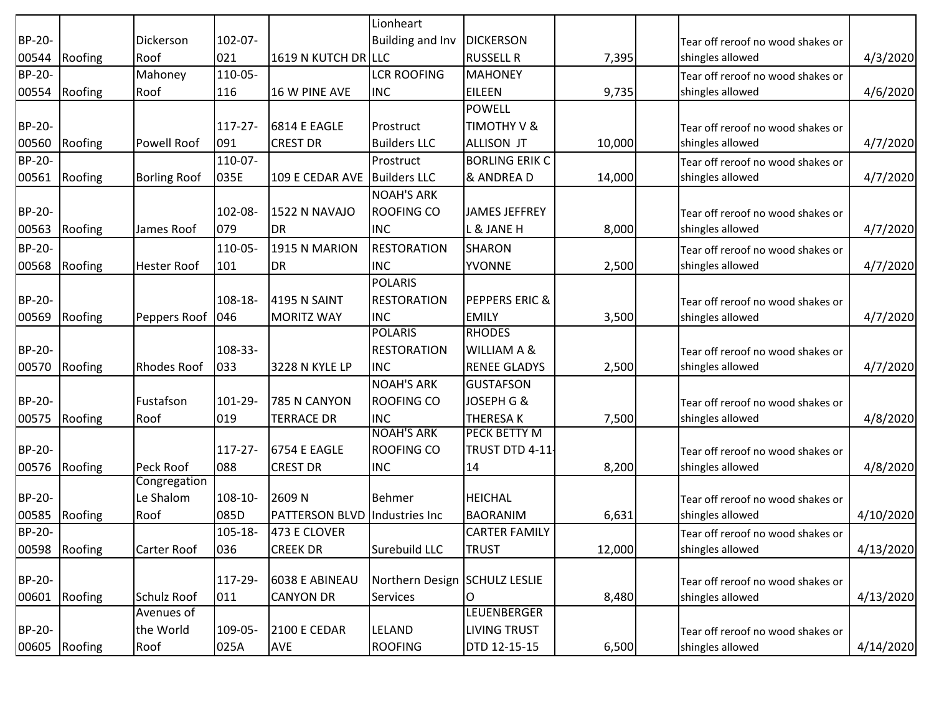|               |               |                     |              |                                      | Lionheart                     |                           |        |                                   |           |
|---------------|---------------|---------------------|--------------|--------------------------------------|-------------------------------|---------------------------|--------|-----------------------------------|-----------|
| BP-20-        |               | Dickerson           | 102-07-      |                                      | <b>Building and Inv</b>       | <b>DICKERSON</b>          |        | Tear off reroof no wood shakes or |           |
| 00544         | Roofing       | Roof                | 021          | 1619 N KUTCH DR LLC                  |                               | <b>RUSSELL R</b>          | 7,395  | shingles allowed                  | 4/3/2020  |
| BP-20-        |               | Mahoney             | 110-05-      |                                      | <b>LCR ROOFING</b>            | <b>MAHONEY</b>            |        | Tear off reroof no wood shakes or |           |
| 00554         | Roofing       | Roof                | 116          | 16 W PINE AVE                        | <b>INC</b>                    | <b>EILEEN</b>             | 9,735  | shingles allowed                  | 4/6/2020  |
|               |               |                     |              |                                      |                               | <b>POWELL</b>             |        |                                   |           |
| BP-20-        |               |                     | $117 - 27 -$ | 6814 E EAGLE                         | Prostruct                     | TIMOTHY V &               |        | Tear off reroof no wood shakes or |           |
| 00560         | Roofing       | <b>Powell Roof</b>  | 091          | <b>CREST DR</b>                      | <b>Builders LLC</b>           | <b>ALLISON JT</b>         | 10,000 | shingles allowed                  | 4/7/2020  |
| <b>BP-20-</b> |               |                     | 110-07-      |                                      | Prostruct                     | <b>BORLING ERIK C</b>     |        | Tear off reroof no wood shakes or |           |
| 00561         | Roofing       | <b>Borling Roof</b> | 035E         | 109 E CEDAR AVE Builders LLC         |                               | & ANDREA D                | 14,000 | shingles allowed                  | 4/7/2020  |
|               |               |                     |              |                                      | <b>NOAH'S ARK</b>             |                           |        |                                   |           |
| BP-20-        |               |                     | 102-08-      | <b>1522 N NAVAJO</b>                 | <b>ROOFING CO</b>             | <b>JAMES JEFFREY</b>      |        | Tear off reroof no wood shakes or |           |
| 00563         | Roofing       | James Roof          | 079          | <b>DR</b>                            | <b>INC</b>                    | L & JANE H                | 8,000  | shingles allowed                  | 4/7/2020  |
| <b>BP-20-</b> |               |                     | 110-05-      | 1915 N MARION                        | <b>RESTORATION</b>            | <b>SHARON</b>             |        | Tear off reroof no wood shakes or |           |
| 00568         | Roofing       | <b>Hester Roof</b>  | 101          | <b>DR</b>                            | <b>INC</b>                    | <b>YVONNE</b>             | 2,500  | shingles allowed                  | 4/7/2020  |
|               |               |                     |              |                                      | <b>POLARIS</b>                |                           |        |                                   |           |
| BP-20-        |               |                     | 108-18-      | <b>4195 N SAINT</b>                  | <b>RESTORATION</b>            | <b>PEPPERS ERIC &amp;</b> |        | Tear off reroof no wood shakes or |           |
| 00569         | Roofing       | Peppers Roof        | 046          | <b>MORITZ WAY</b>                    | <b>INC</b>                    | <b>EMILY</b>              | 3,500  | shingles allowed                  | 4/7/2020  |
|               |               |                     |              |                                      | <b>POLARIS</b>                | <b>RHODES</b>             |        |                                   |           |
| BP-20-        |               |                     | 108-33-      |                                      | <b>RESTORATION</b>            | WILLIAM A &               |        | Tear off reroof no wood shakes or |           |
| 00570         | Roofing       | <b>Rhodes Roof</b>  | 033          | 3228 N KYLE LP                       | <b>INC</b>                    | <b>RENEE GLADYS</b>       | 2,500  | shingles allowed                  | 4/7/2020  |
|               |               |                     |              |                                      | <b>NOAH'S ARK</b>             | <b>GUSTAFSON</b>          |        |                                   |           |
| BP-20-        |               | Fustafson           | 101-29-      | 785 N CANYON                         | <b>ROOFING CO</b>             | JOSEPH G &                |        | Tear off reroof no wood shakes or |           |
| 00575         | Roofing       | Roof                | 019          | <b>TERRACE DR</b>                    | <b>INC</b>                    | <b>THERESAK</b>           | 7,500  | shingles allowed                  | 4/8/2020  |
|               |               |                     |              |                                      | <b>NOAH'S ARK</b>             | <b>PECK BETTY M</b>       |        |                                   |           |
| BP-20-        |               |                     | $117 - 27 -$ | 6754 E EAGLE                         | <b>ROOFING CO</b>             | TRUST DTD 4-11-           |        | Tear off reroof no wood shakes or |           |
| 00576         | Roofing       | Peck Roof           | 088          | <b>CREST DR</b>                      | <b>INC</b>                    | 14                        | 8,200  | shingles allowed                  | 4/8/2020  |
|               |               | Congregation        |              |                                      |                               |                           |        |                                   |           |
| <b>BP-20-</b> |               | Le Shalom           | 108-10-      | 2609N                                | Behmer                        | <b>HEICHAL</b>            |        | Tear off reroof no wood shakes or |           |
| 00585         | Roofing       | Roof                | 085D         | <b>PATTERSON BLVD Industries Inc</b> |                               | <b>BAORANIM</b>           | 6,631  | shingles allowed                  | 4/10/2020 |
| BP-20-        |               |                     | 105-18-      | 473 E CLOVER                         |                               | <b>CARTER FAMILY</b>      |        | Tear off reroof no wood shakes or |           |
|               | 00598 Roofing | Carter Roof         | 036          | <b>CREEK DR</b>                      | Surebuild LLC                 | <b>TRUST</b>              | 12,000 | shingles allowed                  | 4/13/2020 |
|               |               |                     |              |                                      |                               |                           |        |                                   |           |
| BP-20-        |               |                     | 117-29-      | 6038 E ABINEAU                       | Northern Design SCHULZ LESLIE |                           |        | Tear off reroof no wood shakes or |           |
| 00601         | Roofing       | <b>Schulz Roof</b>  | 011          | <b>CANYON DR</b>                     | Services                      | O                         | 8,480  | shingles allowed                  | 4/13/2020 |
|               |               | Avenues of          |              |                                      |                               | <b>LEUENBERGER</b>        |        |                                   |           |
| BP-20-        |               | the World           | 109-05-      | 2100 E CEDAR                         | LELAND                        | <b>LIVING TRUST</b>       |        | Tear off reroof no wood shakes or |           |
| 00605         | Roofing       | Roof                | 025A         | <b>AVE</b>                           | <b>ROOFING</b>                | DTD 12-15-15              | 6,500  | shingles allowed                  | 4/14/2020 |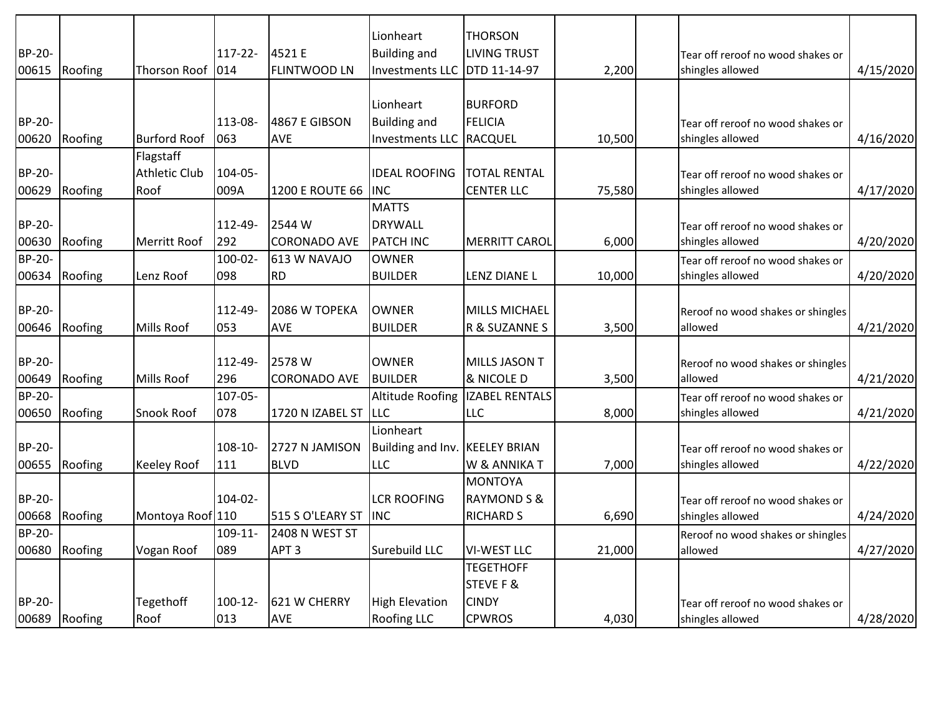| BP-20-<br>00615 | Roofing | Thorson Roof        | $117 - 22 -$<br>1014 | 4521 E<br><b>FLINTWOOD LN</b> | Lionheart<br><b>Building and</b><br><b>Investments LLC</b> | <b>THORSON</b><br><b>LIVING TRUST</b><br>DTD 11-14-97 | 2,200  | Tear off reroof no wood shakes or<br>shingles allowed | 4/15/2020 |
|-----------------|---------|---------------------|----------------------|-------------------------------|------------------------------------------------------------|-------------------------------------------------------|--------|-------------------------------------------------------|-----------|
|                 |         |                     |                      |                               |                                                            |                                                       |        |                                                       |           |
|                 |         |                     |                      |                               | Lionheart                                                  | <b>BURFORD</b>                                        |        |                                                       |           |
| <b>BP-20-</b>   |         |                     | 113-08-              | 4867 E GIBSON                 | <b>Building and</b>                                        | <b>FELICIA</b>                                        |        | Tear off reroof no wood shakes or                     |           |
| 00620           | Roofing | <b>Burford Roof</b> | 063                  | AVE                           | <b>Investments LLC</b>                                     | RACQUEL                                               | 10,500 | shingles allowed                                      | 4/16/2020 |
|                 |         | Flagstaff           |                      |                               |                                                            |                                                       |        |                                                       |           |
| <b>BP-20-</b>   |         | Athletic Club       | 104-05-              |                               | <b>IDEAL ROOFING</b>                                       | <b>TOTAL RENTAL</b>                                   |        | Tear off reroof no wood shakes or                     |           |
| 00629           | Roofing | Roof                | 009A                 | 1200 E ROUTE 66               | <b>INC</b>                                                 | <b>CENTER LLC</b>                                     | 75,580 | shingles allowed                                      | 4/17/2020 |
|                 |         |                     |                      |                               | <b>MATTS</b>                                               |                                                       |        |                                                       |           |
| BP-20-          |         |                     | 112-49-              | 2544 W                        | <b>DRYWALL</b>                                             |                                                       |        | Tear off reroof no wood shakes or                     |           |
| 00630           | Roofing | Merritt Roof        | 292                  | <b>CORONADO AVE</b>           | PATCH INC                                                  | <b>MERRITT CAROL</b>                                  | 6,000  | shingles allowed                                      | 4/20/2020 |
| BP-20-          |         |                     | 100-02-              | 613 W NAVAJO                  | <b>OWNER</b>                                               |                                                       |        | Tear off reroof no wood shakes or                     |           |
| 00634           | Roofing | Lenz Roof           | 098                  | <b>RD</b>                     | <b>BUILDER</b>                                             | LENZ DIANE L                                          | 10,000 | shingles allowed                                      | 4/20/2020 |
|                 |         |                     |                      |                               |                                                            |                                                       |        |                                                       |           |
| BP-20-          |         |                     | 112-49-              | 2086 W TOPEKA                 | <b>OWNER</b>                                               | MILLS MICHAEL                                         |        | Reroof no wood shakes or shingles                     |           |
| 00646           | Roofing | Mills Roof          | 053                  | AVE                           | <b>BUILDER</b>                                             | R & SUZANNE S                                         | 3,500  | allowed                                               | 4/21/2020 |
|                 |         |                     |                      |                               |                                                            |                                                       |        |                                                       |           |
| BP-20-          |         |                     | 112-49-              | 2578W                         | <b>OWNER</b>                                               | <b>MILLS JASON T</b>                                  |        | Reroof no wood shakes or shingles                     |           |
| 00649           | Roofing | Mills Roof          | 296                  | <b>CORONADO AVE</b>           | <b>BUILDER</b>                                             | & NICOLE D                                            | 3,500  | allowed                                               | 4/21/2020 |
| <b>BP-20-</b>   |         |                     | $107 - 05 -$         |                               | <b>Altitude Roofing</b>                                    | <b>IZABEL RENTALS</b>                                 |        | Tear off reroof no wood shakes or                     |           |
| 00650           | Roofing | Snook Roof          | 078                  | 1720 N IZABEL ST              | LLC                                                        | <b>LLC</b>                                            | 8,000  | shingles allowed                                      | 4/21/2020 |
|                 |         |                     |                      |                               | Lionheart                                                  |                                                       |        |                                                       |           |
| BP-20-          |         |                     | 108-10-              | 2727 N JAMISON                | Building and Inv. KEELEY BRIAN                             |                                                       |        | Tear off reroof no wood shakes or                     |           |
| 00655           | Roofing | <b>Keeley Roof</b>  | 111                  | <b>BLVD</b>                   | LLC                                                        | W & ANNIKAT                                           | 7,000  | shingles allowed                                      | 4/22/2020 |
|                 |         |                     |                      |                               |                                                            | <b>MONTOYA</b>                                        |        |                                                       |           |
| BP-20-          |         |                     | 104-02-              |                               | <b>LCR ROOFING</b>                                         | <b>RAYMOND S &amp;</b>                                |        | Tear off reroof no wood shakes or                     |           |
| 00668           | Roofing | Montoya Roof 110    |                      | 515 S O'LEARY ST              | <b>INC</b>                                                 | <b>RICHARD S</b>                                      | 6,690  | shingles allowed                                      | 4/24/2020 |
| <b>BP-20-</b>   |         |                     | $109 - 11$           | 2408 N WEST ST                |                                                            |                                                       |        | Reroof no wood shakes or shingles                     |           |
| 00680           | Roofing | Vogan Roof          | 1089                 | APT <sub>3</sub>              | Surebuild LLC                                              | <b>VI-WEST LLC</b>                                    | 21,000 | allowed                                               | 4/27/2020 |
|                 |         |                     |                      |                               |                                                            | <b>TEGETHOFF</b>                                      |        |                                                       |           |
|                 |         |                     |                      |                               |                                                            | <b>STEVE F &amp;</b>                                  |        |                                                       |           |
| <b>BP-20-</b>   |         | Tegethoff           | $100-12-$            | 1621 W CHERRY                 | <b>High Elevation</b>                                      | <b>CINDY</b>                                          |        | Tear off reroof no wood shakes or                     |           |
| 00689           | Roofing | Roof                | 013                  | AVE                           | <b>Roofing LLC</b>                                         | <b>CPWROS</b>                                         | 4,030  | shingles allowed                                      | 4/28/2020 |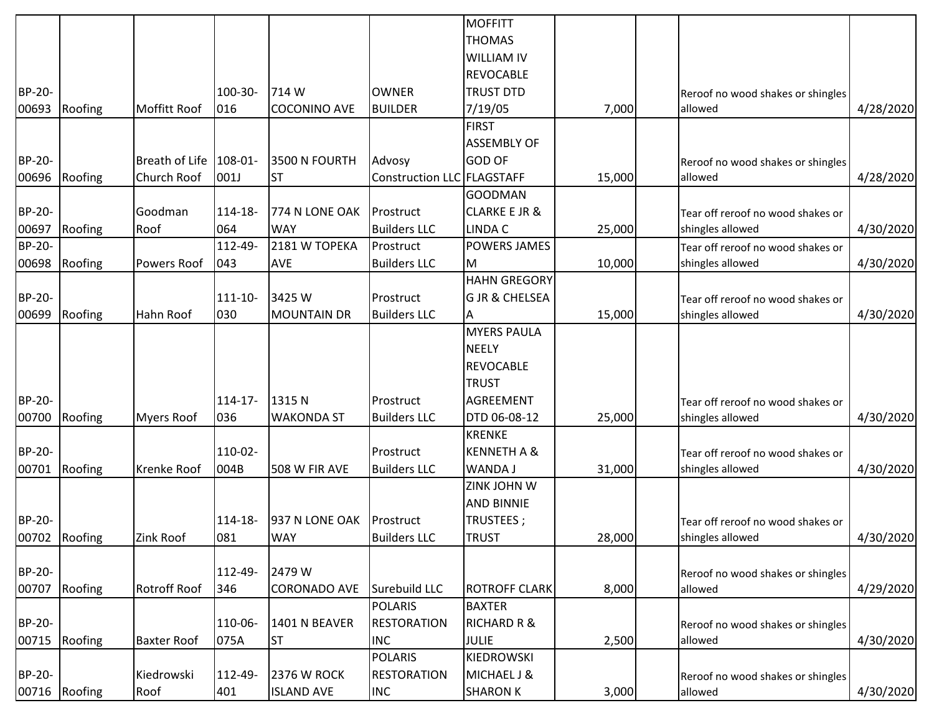|                        |               |                     |                |                     |                                  | <b>MOFFITT</b>            |        |                                   |           |
|------------------------|---------------|---------------------|----------------|---------------------|----------------------------------|---------------------------|--------|-----------------------------------|-----------|
|                        |               |                     |                |                     |                                  | <b>THOMAS</b>             |        |                                   |           |
|                        |               |                     |                |                     |                                  | <b>WILLIAM IV</b>         |        |                                   |           |
|                        |               |                     |                |                     |                                  | <b>REVOCABLE</b>          |        |                                   |           |
| BP-20-                 |               |                     | 100-30-        | 714 W               | <b>OWNER</b>                     | <b>TRUST DTD</b>          |        | Reroof no wood shakes or shingles |           |
| 00693                  | Roofing       | Moffitt Roof        | 016            | <b>COCONINO AVE</b> | <b>BUILDER</b>                   | 7/19/05                   | 7,000  | allowed                           | 4/28/2020 |
|                        |               |                     |                |                     |                                  | <b>FIRST</b>              |        |                                   |           |
|                        |               |                     |                |                     |                                  | <b>ASSEMBLY OF</b>        |        |                                   |           |
| BP-20-                 |               | Breath of Life      | $108 - 01$     | 3500 N FOURTH       | Advosy                           | <b>GOD OF</b>             |        | Reroof no wood shakes or shingles |           |
| 00696                  | Roofing       | Church Roof         | 001J           | <b>ST</b>           | Construction LLC FLAGSTAFF       |                           | 15,000 | allowed                           | 4/28/2020 |
|                        |               |                     |                |                     |                                  | <b>GOODMAN</b>            |        |                                   |           |
| BP-20-                 |               | Goodman             | 114-18-        | 774 N LONE OAK      | Prostruct                        | <b>CLARKE E JR &amp;</b>  |        |                                   |           |
|                        |               |                     |                | <b>WAY</b>          |                                  |                           |        | Tear off reroof no wood shakes or |           |
| 00697<br><b>BP-20-</b> | Roofing       | Roof                | 064<br>112-49- | 2181 W TOPEKA       | <b>Builders LLC</b><br>Prostruct | <b>LINDA C</b>            | 25,000 | shingles allowed                  | 4/30/2020 |
|                        |               |                     |                |                     |                                  | <b>POWERS JAMES</b>       |        | Tear off reroof no wood shakes or |           |
| 00698                  | Roofing       | Powers Roof         | 043            | <b>AVE</b>          | <b>Builders LLC</b>              | М                         | 10,000 | shingles allowed                  | 4/30/2020 |
|                        |               |                     |                |                     |                                  | <b>HAHN GREGORY</b>       |        |                                   |           |
| BP-20-                 |               |                     | 111-10-        | 3425 W              | Prostruct                        | <b>G JR &amp; CHELSEA</b> |        | Tear off reroof no wood shakes or |           |
| 00699                  | Roofing       | Hahn Roof           | 030            | <b>MOUNTAIN DR</b>  | <b>Builders LLC</b>              | Α                         | 15,000 | shingles allowed                  | 4/30/2020 |
|                        |               |                     |                |                     |                                  | <b>MYERS PAULA</b>        |        |                                   |           |
|                        |               |                     |                |                     |                                  | <b>NEELY</b>              |        |                                   |           |
|                        |               |                     |                |                     |                                  | <b>REVOCABLE</b>          |        |                                   |           |
|                        |               |                     |                |                     |                                  | <b>TRUST</b>              |        |                                   |           |
| BP-20-                 |               |                     | $114 - 17$     | 1315N               | Prostruct                        | <b>AGREEMENT</b>          |        | Tear off reroof no wood shakes or |           |
| 00700                  | Roofing       | <b>Myers Roof</b>   | 036            | <b>WAKONDA ST</b>   | <b>Builders LLC</b>              | DTD 06-08-12              | 25,000 | shingles allowed                  | 4/30/2020 |
|                        |               |                     |                |                     |                                  | <b>KRENKE</b>             |        |                                   |           |
| BP-20-                 |               |                     | 110-02-        |                     | Prostruct                        | <b>KENNETH A &amp;</b>    |        | Tear off reroof no wood shakes or |           |
| 00701                  | Roofing       | Krenke Roof         | 004B           | 508 W FIR AVE       | <b>Builders LLC</b>              | WANDA J                   | 31,000 | shingles allowed                  | 4/30/2020 |
|                        |               |                     |                |                     |                                  | ZINK JOHN W               |        |                                   |           |
|                        |               |                     |                |                     |                                  | <b>AND BINNIE</b>         |        |                                   |           |
| BP-20-                 |               |                     | 114-18-        | 937 N LONE OAK      | Prostruct                        | TRUSTEES;                 |        | Tear off reroof no wood shakes or |           |
|                        | 00702 Roofing | Zink Roof           | 081            | <b>WAY</b>          | <b>Builders LLC</b>              | <b>TRUST</b>              | 28,000 | shingles allowed                  | 4/30/2020 |
|                        |               |                     |                |                     |                                  |                           |        |                                   |           |
| BP-20-                 |               |                     | 112-49-        | 2479 W              |                                  |                           |        | Reroof no wood shakes or shingles |           |
| 00707                  | Roofing       | <b>Rotroff Roof</b> | 346            | <b>CORONADO AVE</b> | Surebuild LLC                    | <b>ROTROFF CLARK</b>      | 8,000  | allowed                           | 4/29/2020 |
|                        |               |                     |                |                     | <b>POLARIS</b>                   | <b>BAXTER</b>             |        |                                   |           |
| BP-20-                 |               |                     | 110-06-        | 1401 N BEAVER       | <b>RESTORATION</b>               | <b>RICHARD R &amp;</b>    |        | Reroof no wood shakes or shingles |           |
| 00715                  | Roofing       | <b>Baxter Roof</b>  | 075A           | <b>ST</b>           | <b>INC</b>                       | <b>JULIE</b>              | 2,500  | allowed                           | 4/30/2020 |
|                        |               |                     |                |                     | <b>POLARIS</b>                   | <b>KIEDROWSKI</b>         |        |                                   |           |
| BP-20-                 |               | Kiedrowski          | 112-49-        | <b>2376 W ROCK</b>  | <b>RESTORATION</b>               | MICHAEL J &               |        | Reroof no wood shakes or shingles |           |
| 00716                  | Roofing       | Roof                | 401            | <b>ISLAND AVE</b>   | <b>INC</b>                       | <b>SHARON K</b>           | 3,000  | allowed                           | 4/30/2020 |
|                        |               |                     |                |                     |                                  |                           |        |                                   |           |